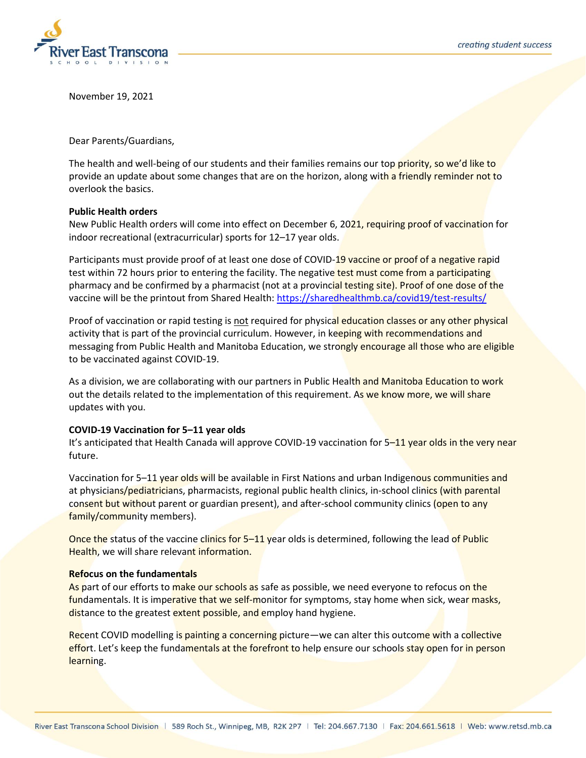

November 19, 2021

Dear Parents/Guardians,

The health and well-being of our students and their families remains our top priority, so we'd like to provide an update about some changes that are on the horizon, along with a friendly reminder not to overlook the basics.

## **Public Health orders**

New Public Health orders will come into effect on December 6, 2021, requiring proof of vaccination for indoor recreational (extracurricular) sports for 12–17 year olds.

Participants must provide proof of at least one dose of COVID-19 vaccine or proof of a negative rapid test within 72 hours prior to entering the facility. The negative test must come from a participating pharmacy and be confirmed by a pharmacist (not at a provincial testing site). Proof of one dose of the vaccine will be the printout from Shared Health:<https://sharedhealthmb.ca/covid19/test-results/>

Proof of vaccination or rapid testing is not required for physical education classes or any other physical activity that is part of the provincial curriculum. However, in keeping with recommendations and messaging from Public Health and Manitoba Education, we strongly encourage all those who are eligible to be vaccinated against COVID-19.

As a division, we are collaborating with our partners in Public Health and Manitoba Education to work out the details related to the implementation of this requirement. As we know more, we will share updates with you.

## **COVID-19 Vaccination for 5–11 year olds**

It's anticipated that Health Canada will approve COVID-19 vaccination for 5–11 year olds in the very near future.

Vaccination for 5–11 year olds will be available in First Nations and urban Indigenous communities and at physicians/pediatricians, pharmacists, regional public health clinics, in-school clinics (with parental consent but without parent or guardian present), and after-school community clinics (open to any family/community members).

Once the status of the vaccine clinics for 5–11 year olds is determined, following the lead of Public Health, we will share relevant information.

## **Refocus on the fundamentals**

As part of our efforts to make our schools as safe as possible, we need everyone to refocus on the fundamentals. It is imperative that we self-monitor for symptoms, stay home when sick, wear masks, distance to the greatest extent possible, and employ hand hygiene.

Recent COVID modelling is painting a concerning picture—we can alter this outcome with a collective effort. Let's keep the fundamentals at the forefront to help ensure our schools stay open for in person learning.